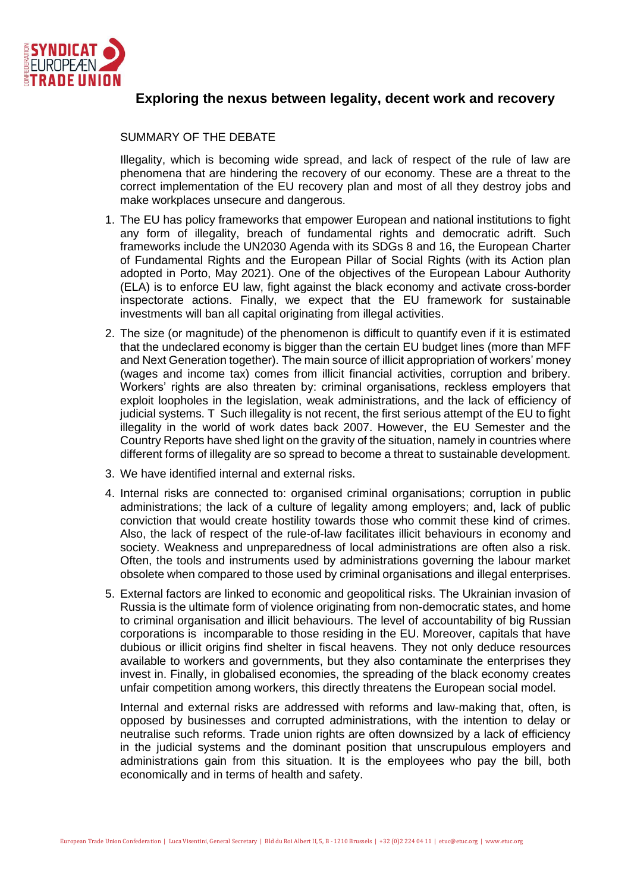

## **[Exploring](https://est.etuc.org/?tribe_events=exploring-the-nexus-between-legality-decent-work-and-recovery) the nexus between legality, decent work and recovery**

## SUMMARY OF THE DEBATE

Illegality, which is becoming wide spread, and lack of respect of the rule of law are phenomena that are hindering the recovery of our economy. These are a threat to the correct implementation of the EU recovery plan and most of all they destroy jobs and make workplaces unsecure and dangerous.

- 1. The EU has policy frameworks that empower European and national institutions to fight any form of illegality, breach of fundamental rights and democratic adrift. Such frameworks include the UN2030 Agenda with its SDGs 8 and 16, the European Charter of Fundamental Rights and the European Pillar of Social Rights (with its Action plan adopted in Porto, May 2021). One of the objectives of the European Labour Authority (ELA) is to enforce EU law, fight against the black economy and activate cross-border inspectorate actions. Finally, we expect that the EU framework for sustainable investments will ban all capital originating from illegal activities.
- 2. The size (or magnitude) of the phenomenon is difficult to quantify even if it is estimated that the undeclared economy is bigger than the certain EU budget lines (more than MFF and Next Generation together). The main source of illicit appropriation of workers' money (wages and income tax) comes from illicit financial activities, corruption and bribery. Workers' rights are also threaten by: criminal organisations, reckless employers that exploit loopholes in the legislation, weak administrations, and the lack of efficiency of judicial systems. T Such illegality is not recent, the first serious attempt of the EU to fight illegality in the world of work dates back 2007. However, the EU Semester and the Country Reports have shed light on the gravity of the situation, namely in countries where different forms of illegality are so spread to become a threat to sustainable development.
- 3. We have identified internal and external risks.
- 4. Internal risks are connected to: organised criminal organisations; corruption in public administrations; the lack of a culture of legality among employers; and, lack of public conviction that would create hostility towards those who commit these kind of crimes. Also, the lack of respect of the rule-of-law facilitates illicit behaviours in economy and society. Weakness and unpreparedness of local administrations are often also a risk. Often, the tools and instruments used by administrations governing the labour market obsolete when compared to those used by criminal organisations and illegal enterprises.
- 5. External factors are linked to economic and geopolitical risks. The Ukrainian invasion of Russia is the ultimate form of violence originating from non-democratic states, and home to criminal organisation and illicit behaviours. The level of accountability of big Russian corporations is incomparable to those residing in the EU. Moreover, capitals that have dubious or illicit origins find shelter in fiscal heavens. They not only deduce resources available to workers and governments, but they also contaminate the enterprises they invest in. Finally, in globalised economies, the spreading of the black economy creates unfair competition among workers, this directly threatens the European social model.

Internal and external risks are addressed with reforms and law-making that, often, is opposed by businesses and corrupted administrations, with the intention to delay or neutralise such reforms. Trade union rights are often downsized by a lack of efficiency in the judicial systems and the dominant position that unscrupulous employers and administrations gain from this situation. It is the employees who pay the bill, both economically and in terms of health and safety.